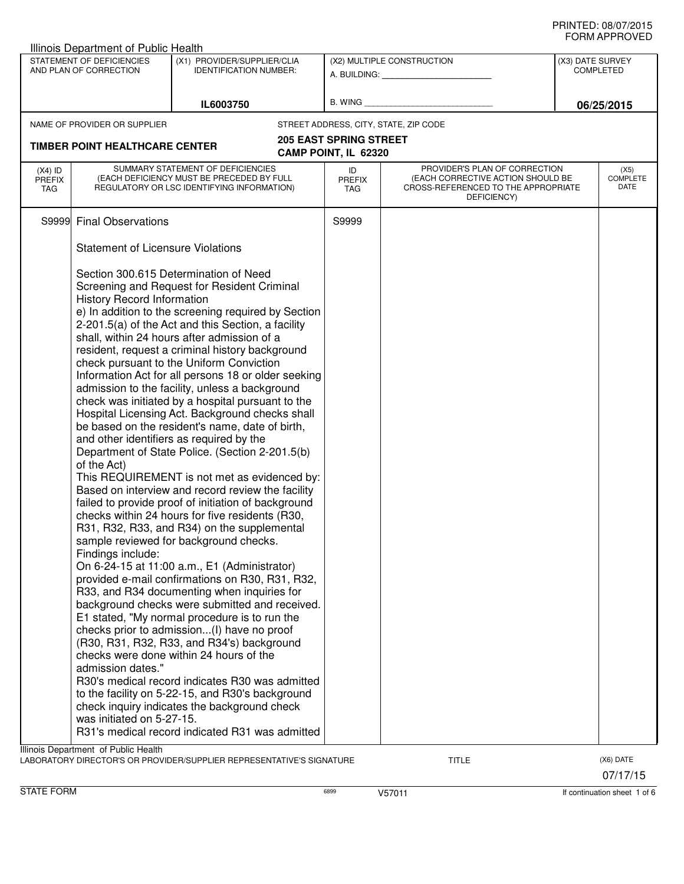|                                          | STATEMENT OF DEFICIENCIES<br>AND PLAN OF CORRECTION                                                                     | (X1) PROVIDER/SUPPLIER/CLIA<br><b>IDENTIFICATION NUMBER:</b>                                                                                                                                                                                                                                                                                                                                                                                                                                                                                                                                                                                                                                                                                                                                                                                                                                                                                                                                                                                                                                                                                                                                                                                                                                                                                                                                                                                                                                                                                                                  |                                       | (X2) MULTIPLE CONSTRUCTION                                                                                               | (X3) DATE SURVEY<br><b>COMPLETED</b> |
|------------------------------------------|-------------------------------------------------------------------------------------------------------------------------|-------------------------------------------------------------------------------------------------------------------------------------------------------------------------------------------------------------------------------------------------------------------------------------------------------------------------------------------------------------------------------------------------------------------------------------------------------------------------------------------------------------------------------------------------------------------------------------------------------------------------------------------------------------------------------------------------------------------------------------------------------------------------------------------------------------------------------------------------------------------------------------------------------------------------------------------------------------------------------------------------------------------------------------------------------------------------------------------------------------------------------------------------------------------------------------------------------------------------------------------------------------------------------------------------------------------------------------------------------------------------------------------------------------------------------------------------------------------------------------------------------------------------------------------------------------------------------|---------------------------------------|--------------------------------------------------------------------------------------------------------------------------|--------------------------------------|
|                                          |                                                                                                                         |                                                                                                                                                                                                                                                                                                                                                                                                                                                                                                                                                                                                                                                                                                                                                                                                                                                                                                                                                                                                                                                                                                                                                                                                                                                                                                                                                                                                                                                                                                                                                                               |                                       |                                                                                                                          |                                      |
|                                          |                                                                                                                         | IL6003750                                                                                                                                                                                                                                                                                                                                                                                                                                                                                                                                                                                                                                                                                                                                                                                                                                                                                                                                                                                                                                                                                                                                                                                                                                                                                                                                                                                                                                                                                                                                                                     |                                       |                                                                                                                          | 06/25/2015                           |
|                                          | NAME OF PROVIDER OR SUPPLIER                                                                                            |                                                                                                                                                                                                                                                                                                                                                                                                                                                                                                                                                                                                                                                                                                                                                                                                                                                                                                                                                                                                                                                                                                                                                                                                                                                                                                                                                                                                                                                                                                                                                                               | STREET ADDRESS, CITY, STATE, ZIP CODE |                                                                                                                          |                                      |
|                                          | <b>TIMBER POINT HEALTHCARE CENTER</b>                                                                                   |                                                                                                                                                                                                                                                                                                                                                                                                                                                                                                                                                                                                                                                                                                                                                                                                                                                                                                                                                                                                                                                                                                                                                                                                                                                                                                                                                                                                                                                                                                                                                                               | <b>205 EAST SPRING STREET</b>         |                                                                                                                          |                                      |
|                                          |                                                                                                                         |                                                                                                                                                                                                                                                                                                                                                                                                                                                                                                                                                                                                                                                                                                                                                                                                                                                                                                                                                                                                                                                                                                                                                                                                                                                                                                                                                                                                                                                                                                                                                                               | CAMP POINT, IL 62320                  |                                                                                                                          |                                      |
| $(X4)$ ID<br><b>PREFIX</b><br><b>TAG</b> |                                                                                                                         | SUMMARY STATEMENT OF DEFICIENCIES<br>(EACH DEFICIENCY MUST BE PRECEDED BY FULL<br>REGULATORY OR LSC IDENTIFYING INFORMATION)                                                                                                                                                                                                                                                                                                                                                                                                                                                                                                                                                                                                                                                                                                                                                                                                                                                                                                                                                                                                                                                                                                                                                                                                                                                                                                                                                                                                                                                  | ID<br><b>PREFIX</b><br>TAG            | PROVIDER'S PLAN OF CORRECTION<br>(EACH CORRECTIVE ACTION SHOULD BE<br>CROSS-REFERENCED TO THE APPROPRIATE<br>DEFICIENCY) | (X5)<br>COMPLETE<br>DATE             |
|                                          | S9999 Final Observations                                                                                                |                                                                                                                                                                                                                                                                                                                                                                                                                                                                                                                                                                                                                                                                                                                                                                                                                                                                                                                                                                                                                                                                                                                                                                                                                                                                                                                                                                                                                                                                                                                                                                               | S9999                                 |                                                                                                                          |                                      |
|                                          | <b>Statement of Licensure Violations</b>                                                                                |                                                                                                                                                                                                                                                                                                                                                                                                                                                                                                                                                                                                                                                                                                                                                                                                                                                                                                                                                                                                                                                                                                                                                                                                                                                                                                                                                                                                                                                                                                                                                                               |                                       |                                                                                                                          |                                      |
|                                          | <b>History Record Information</b><br>of the Act)<br>Findings include:<br>admission dates."<br>was initiated on 5-27-15. | Section 300.615 Determination of Need<br>Screening and Request for Resident Criminal<br>e) In addition to the screening required by Section<br>2-201.5(a) of the Act and this Section, a facility<br>shall, within 24 hours after admission of a<br>resident, request a criminal history background<br>check pursuant to the Uniform Conviction<br>Information Act for all persons 18 or older seeking<br>admission to the facility, unless a background<br>check was initiated by a hospital pursuant to the<br>Hospital Licensing Act. Background checks shall<br>be based on the resident's name, date of birth,<br>and other identifiers as required by the<br>Department of State Police. (Section 2-201.5(b)<br>This REQUIREMENT is not met as evidenced by:<br>Based on interview and record review the facility<br>failed to provide proof of initiation of background<br>checks within 24 hours for five residents (R30,<br>R31, R32, R33, and R34) on the supplemental<br>sample reviewed for background checks.<br>On 6-24-15 at 11:00 a.m., E1 (Administrator)<br>provided e-mail confirmations on R30, R31, R32,<br>R33, and R34 documenting when inquiries for<br>background checks were submitted and received.<br>E1 stated, "My normal procedure is to run the<br>checks prior to admission(I) have no proof<br>(R30, R31, R32, R33, and R34's) background<br>checks were done within 24 hours of the<br>R30's medical record indicates R30 was admitted<br>to the facility on 5-22-15, and R30's background<br>check inquiry indicates the background check |                                       |                                                                                                                          |                                      |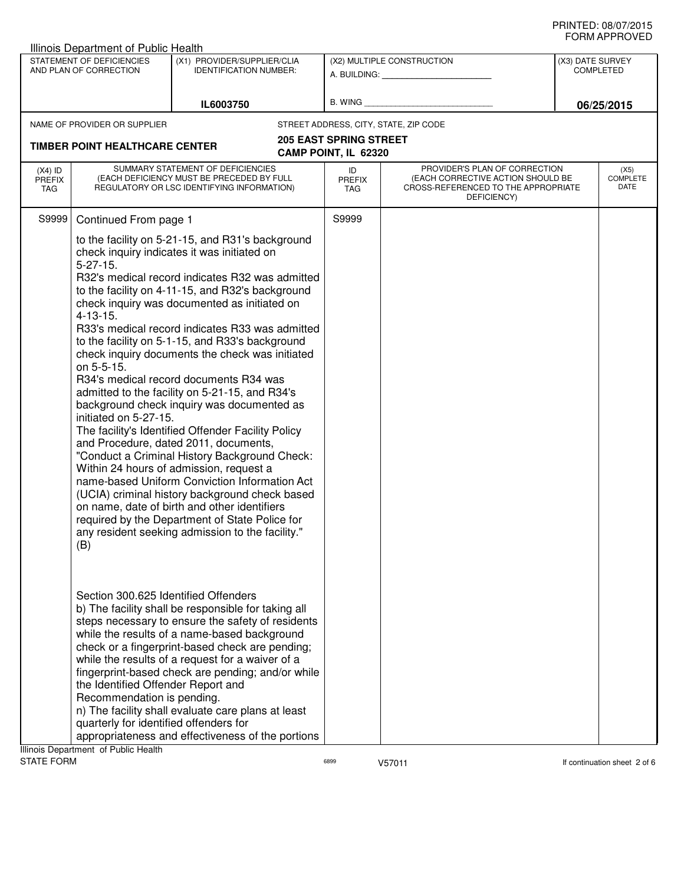|                                                                                                                     | Illinois Department of Public Health                                                                                                               |                                                                                                                                                                                                                                                                                                                                                                                                                                                                                                                                                                                                                                                                                                                                                                                                                                                                                                                                                                                                               |                                                       |                                                                                                                          |  |                                 |
|---------------------------------------------------------------------------------------------------------------------|----------------------------------------------------------------------------------------------------------------------------------------------------|---------------------------------------------------------------------------------------------------------------------------------------------------------------------------------------------------------------------------------------------------------------------------------------------------------------------------------------------------------------------------------------------------------------------------------------------------------------------------------------------------------------------------------------------------------------------------------------------------------------------------------------------------------------------------------------------------------------------------------------------------------------------------------------------------------------------------------------------------------------------------------------------------------------------------------------------------------------------------------------------------------------|-------------------------------------------------------|--------------------------------------------------------------------------------------------------------------------------|--|---------------------------------|
| STATEMENT OF DEFICIENCIES<br>(X1) PROVIDER/SUPPLIER/CLIA<br>AND PLAN OF CORRECTION<br><b>IDENTIFICATION NUMBER:</b> |                                                                                                                                                    | (X2) MULTIPLE CONSTRUCTION<br>A. BUILDING: __________________                                                                                                                                                                                                                                                                                                                                                                                                                                                                                                                                                                                                                                                                                                                                                                                                                                                                                                                                                 |                                                       | (X3) DATE SURVEY<br><b>COMPLETED</b>                                                                                     |  |                                 |
| IL6003750                                                                                                           |                                                                                                                                                    | B. WING                                                                                                                                                                                                                                                                                                                                                                                                                                                                                                                                                                                                                                                                                                                                                                                                                                                                                                                                                                                                       |                                                       | 06/25/2015                                                                                                               |  |                                 |
|                                                                                                                     | NAME OF PROVIDER OR SUPPLIER                                                                                                                       |                                                                                                                                                                                                                                                                                                                                                                                                                                                                                                                                                                                                                                                                                                                                                                                                                                                                                                                                                                                                               |                                                       | STREET ADDRESS, CITY, STATE, ZIP CODE                                                                                    |  |                                 |
|                                                                                                                     | <b>TIMBER POINT HEALTHCARE CENTER</b>                                                                                                              |                                                                                                                                                                                                                                                                                                                                                                                                                                                                                                                                                                                                                                                                                                                                                                                                                                                                                                                                                                                                               | <b>205 EAST SPRING STREET</b><br>CAMP POINT, IL 62320 |                                                                                                                          |  |                                 |
| $(X4)$ ID<br><b>PREFIX</b><br>TAG                                                                                   |                                                                                                                                                    | SUMMARY STATEMENT OF DEFICIENCIES<br>(EACH DEFICIENCY MUST BE PRECEDED BY FULL<br>REGULATORY OR LSC IDENTIFYING INFORMATION)                                                                                                                                                                                                                                                                                                                                                                                                                                                                                                                                                                                                                                                                                                                                                                                                                                                                                  | ID<br><b>PREFIX</b><br>TAG                            | PROVIDER'S PLAN OF CORRECTION<br>(EACH CORRECTIVE ACTION SHOULD BE<br>CROSS-REFERENCED TO THE APPROPRIATE<br>DEFICIENCY) |  | (X5)<br><b>COMPLETE</b><br>DATE |
| S9999                                                                                                               | Continued From page 1                                                                                                                              |                                                                                                                                                                                                                                                                                                                                                                                                                                                                                                                                                                                                                                                                                                                                                                                                                                                                                                                                                                                                               | S9999                                                 |                                                                                                                          |  |                                 |
|                                                                                                                     | $5 - 27 - 15$ .<br>$4 - 13 - 15.$<br>on 5-5-15.<br>initiated on 5-27-15.<br>(B)                                                                    | to the facility on 5-21-15, and R31's background<br>check inquiry indicates it was initiated on<br>R32's medical record indicates R32 was admitted<br>to the facility on 4-11-15, and R32's background<br>check inquiry was documented as initiated on<br>R33's medical record indicates R33 was admitted<br>to the facility on 5-1-15, and R33's background<br>check inquiry documents the check was initiated<br>R34's medical record documents R34 was<br>admitted to the facility on 5-21-15, and R34's<br>background check inquiry was documented as<br>The facility's Identified Offender Facility Policy<br>and Procedure, dated 2011, documents,<br>"Conduct a Criminal History Background Check:<br>Within 24 hours of admission, request a<br>name-based Uniform Conviction Information Act<br>(UCIA) criminal history background check based<br>on name, date of birth and other identifiers<br>required by the Department of State Police for<br>any resident seeking admission to the facility." |                                                       |                                                                                                                          |  |                                 |
|                                                                                                                     | Section 300.625 Identified Offenders<br>the Identified Offender Report and<br>Recommendation is pending.<br>quarterly for identified offenders for | b) The facility shall be responsible for taking all<br>steps necessary to ensure the safety of residents<br>while the results of a name-based background<br>check or a fingerprint-based check are pending;<br>while the results of a request for a waiver of a<br>fingerprint-based check are pending; and/or while<br>n) The facility shall evaluate care plans at least<br>appropriateness and effectiveness of the portions                                                                                                                                                                                                                                                                                                                                                                                                                                                                                                                                                                               |                                                       |                                                                                                                          |  |                                 |
|                                                                                                                     | Illinois Department of Public Health                                                                                                               |                                                                                                                                                                                                                                                                                                                                                                                                                                                                                                                                                                                                                                                                                                                                                                                                                                                                                                                                                                                                               |                                                       |                                                                                                                          |  |                                 |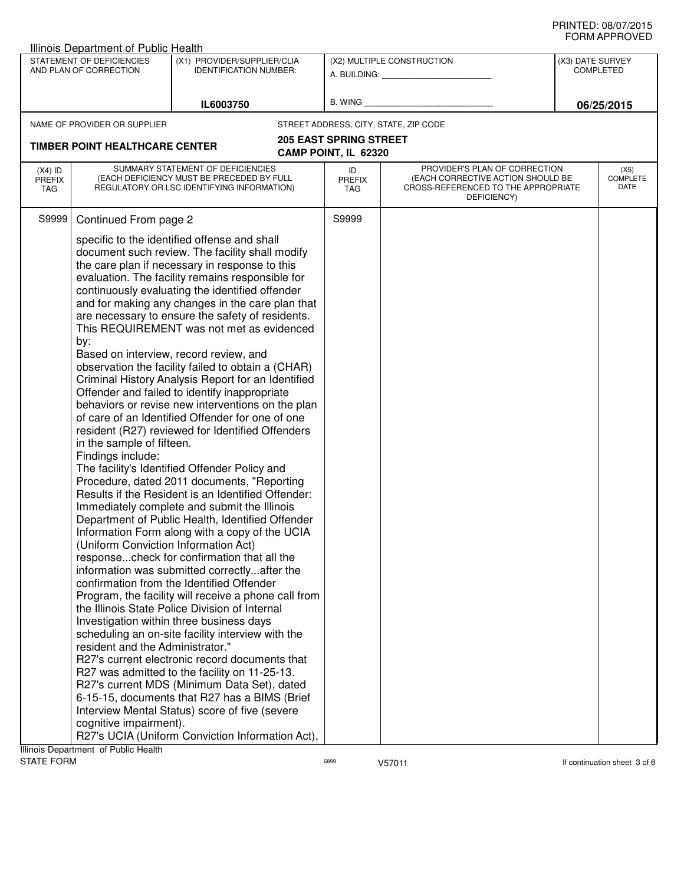|                                          | <b>Illinois Department of Public Health</b>                                                              |                                                                                                                              |                                       |                                                                                                                          |                  |                                 |
|------------------------------------------|----------------------------------------------------------------------------------------------------------|------------------------------------------------------------------------------------------------------------------------------|---------------------------------------|--------------------------------------------------------------------------------------------------------------------------|------------------|---------------------------------|
|                                          | STATEMENT OF DEFICIENCIES<br>AND PLAN OF CORRECTION                                                      | (X1) PROVIDER/SUPPLIER/CLIA<br><b>IDENTIFICATION NUMBER:</b>                                                                 |                                       | (X2) MULTIPLE CONSTRUCTION                                                                                               | (X3) DATE SURVEY | <b>COMPLETED</b>                |
|                                          |                                                                                                          |                                                                                                                              |                                       | A. BUILDING: ____________________                                                                                        |                  |                                 |
|                                          |                                                                                                          |                                                                                                                              | B. WING                               |                                                                                                                          |                  |                                 |
|                                          |                                                                                                          | IL6003750                                                                                                                    |                                       |                                                                                                                          |                  | 06/25/2015                      |
|                                          | NAME OF PROVIDER OR SUPPLIER                                                                             |                                                                                                                              | STREET ADDRESS, CITY, STATE, ZIP CODE |                                                                                                                          |                  |                                 |
|                                          | <b>TIMBER POINT HEALTHCARE CENTER</b>                                                                    |                                                                                                                              | <b>205 EAST SPRING STREET</b>         |                                                                                                                          |                  |                                 |
|                                          |                                                                                                          |                                                                                                                              | CAMP POINT, IL 62320                  |                                                                                                                          |                  |                                 |
| $(X4)$ ID<br><b>PREFIX</b><br><b>TAG</b> |                                                                                                          | SUMMARY STATEMENT OF DEFICIENCIES<br>(EACH DEFICIENCY MUST BE PRECEDED BY FULL<br>REGULATORY OR LSC IDENTIFYING INFORMATION) | ID<br><b>PREFIX</b><br>TAG            | PROVIDER'S PLAN OF CORRECTION<br>(EACH CORRECTIVE ACTION SHOULD BE<br>CROSS-REFERENCED TO THE APPROPRIATE<br>DEFICIENCY) |                  | (X5)<br><b>COMPLETE</b><br>DATE |
| S9999                                    | Continued From page 2                                                                                    |                                                                                                                              | S9999                                 |                                                                                                                          |                  |                                 |
|                                          |                                                                                                          | specific to the identified offense and shall                                                                                 |                                       |                                                                                                                          |                  |                                 |
|                                          |                                                                                                          | document such review. The facility shall modify                                                                              |                                       |                                                                                                                          |                  |                                 |
|                                          |                                                                                                          | the care plan if necessary in response to this                                                                               |                                       |                                                                                                                          |                  |                                 |
|                                          |                                                                                                          | evaluation. The facility remains responsible for                                                                             |                                       |                                                                                                                          |                  |                                 |
|                                          |                                                                                                          | continuously evaluating the identified offender                                                                              |                                       |                                                                                                                          |                  |                                 |
|                                          |                                                                                                          | and for making any changes in the care plan that                                                                             |                                       |                                                                                                                          |                  |                                 |
|                                          |                                                                                                          | are necessary to ensure the safety of residents.                                                                             |                                       |                                                                                                                          |                  |                                 |
|                                          |                                                                                                          | This REQUIREMENT was not met as evidenced                                                                                    |                                       |                                                                                                                          |                  |                                 |
|                                          | by:                                                                                                      |                                                                                                                              |                                       |                                                                                                                          |                  |                                 |
|                                          | Based on interview, record review, and                                                                   |                                                                                                                              |                                       |                                                                                                                          |                  |                                 |
|                                          | observation the facility failed to obtain a (CHAR)<br>Criminal History Analysis Report for an Identified |                                                                                                                              |                                       |                                                                                                                          |                  |                                 |
|                                          |                                                                                                          | Offender and failed to identify inappropriate                                                                                |                                       |                                                                                                                          |                  |                                 |
|                                          |                                                                                                          | behaviors or revise new interventions on the plan                                                                            |                                       |                                                                                                                          |                  |                                 |
|                                          |                                                                                                          | of care of an Identified Offender for one of one                                                                             |                                       |                                                                                                                          |                  |                                 |
|                                          |                                                                                                          | resident (R27) reviewed for Identified Offenders                                                                             |                                       |                                                                                                                          |                  |                                 |
|                                          | in the sample of fifteen.                                                                                |                                                                                                                              |                                       |                                                                                                                          |                  |                                 |
|                                          | Findings include:                                                                                        |                                                                                                                              |                                       |                                                                                                                          |                  |                                 |
|                                          |                                                                                                          | The facility's Identified Offender Policy and                                                                                |                                       |                                                                                                                          |                  |                                 |
|                                          |                                                                                                          | Procedure, dated 2011 documents, "Reporting                                                                                  |                                       |                                                                                                                          |                  |                                 |
|                                          |                                                                                                          | Results if the Resident is an Identified Offender:                                                                           |                                       |                                                                                                                          |                  |                                 |
|                                          |                                                                                                          | Immediately complete and submit the Illinois                                                                                 |                                       |                                                                                                                          |                  |                                 |
|                                          |                                                                                                          | Department of Public Health, Identified Offender                                                                             |                                       |                                                                                                                          |                  |                                 |
|                                          |                                                                                                          | Information Form along with a copy of the UCIA                                                                               |                                       |                                                                                                                          |                  |                                 |
|                                          | (Uniform Conviction Information Act)                                                                     |                                                                                                                              |                                       |                                                                                                                          |                  |                                 |
|                                          |                                                                                                          | responsecheck for confirmation that all the                                                                                  |                                       |                                                                                                                          |                  |                                 |
|                                          |                                                                                                          | information was submitted correctlyafter the<br>confirmation from the Identified Offender                                    |                                       |                                                                                                                          |                  |                                 |
|                                          |                                                                                                          |                                                                                                                              |                                       |                                                                                                                          |                  |                                 |
|                                          |                                                                                                          | Program, the facility will receive a phone call from<br>the Illinois State Police Division of Internal                       |                                       |                                                                                                                          |                  |                                 |
|                                          |                                                                                                          | Investigation within three business days                                                                                     |                                       |                                                                                                                          |                  |                                 |
|                                          |                                                                                                          | scheduling an on-site facility interview with the                                                                            |                                       |                                                                                                                          |                  |                                 |
|                                          | resident and the Administrator."                                                                         |                                                                                                                              |                                       |                                                                                                                          |                  |                                 |
|                                          |                                                                                                          | R27's current electronic record documents that                                                                               |                                       |                                                                                                                          |                  |                                 |
|                                          |                                                                                                          | R27 was admitted to the facility on 11-25-13.                                                                                |                                       |                                                                                                                          |                  |                                 |
|                                          |                                                                                                          | R27's current MDS (Minimum Data Set), dated                                                                                  |                                       |                                                                                                                          |                  |                                 |
|                                          |                                                                                                          | 6-15-15, documents that R27 has a BIMS (Brief                                                                                |                                       |                                                                                                                          |                  |                                 |
|                                          |                                                                                                          | Interview Mental Status) score of five (severe                                                                               |                                       |                                                                                                                          |                  |                                 |
|                                          | cognitive impairment).                                                                                   |                                                                                                                              |                                       |                                                                                                                          |                  |                                 |
|                                          |                                                                                                          | R27's UCIA (Uniform Conviction Information Act),                                                                             |                                       |                                                                                                                          |                  |                                 |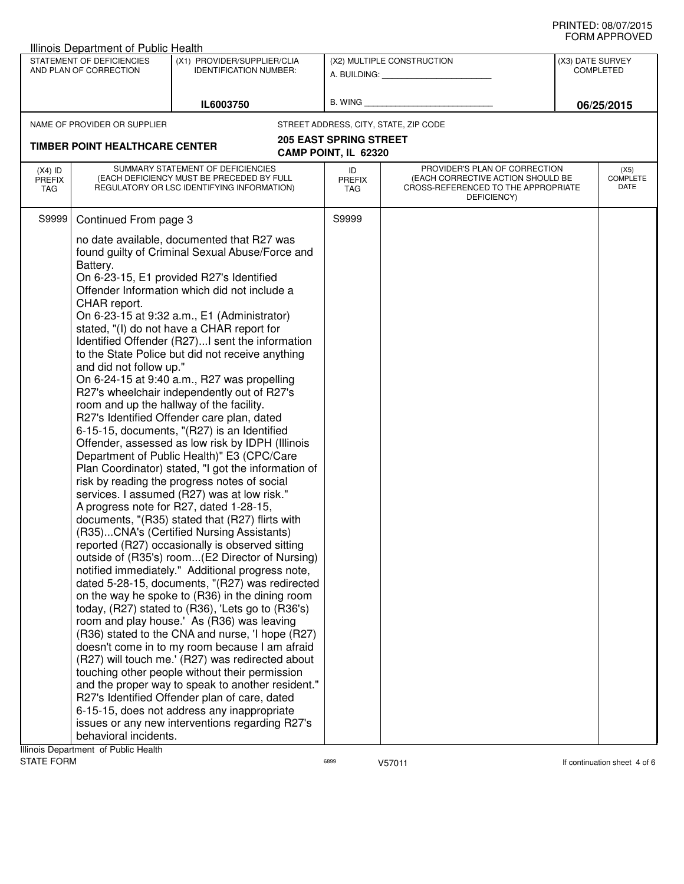| STATEMENT OF DEFICIENCIES<br>(X1) PROVIDER/SUPPLIER/CLIA<br>(X2) MULTIPLE CONSTRUCTION<br>(X3) DATE SURVEY<br>AND PLAN OF CORRECTION<br><b>IDENTIFICATION NUMBER:</b><br><b>COMPLETED</b><br>A. BUILDING: A. BUILDING:<br>B. WING<br>IL6003750<br>06/25/2015<br>STREET ADDRESS, CITY, STATE, ZIP CODE<br>NAME OF PROVIDER OR SUPPLIER<br><b>205 EAST SPRING STREET</b><br><b>TIMBER POINT HEALTHCARE CENTER</b><br>CAMP POINT, IL 62320<br>SUMMARY STATEMENT OF DEFICIENCIES<br>PROVIDER'S PLAN OF CORRECTION<br>$(X4)$ ID<br>ID<br>(X5)<br><b>COMPLETE</b><br>(EACH DEFICIENCY MUST BE PRECEDED BY FULL<br>(EACH CORRECTIVE ACTION SHOULD BE<br><b>PREFIX</b><br><b>PREFIX</b><br>DATE<br>REGULATORY OR LSC IDENTIFYING INFORMATION)<br>CROSS-REFERENCED TO THE APPROPRIATE<br>TAG<br>TAG<br>DEFICIENCY)<br>S9999<br>S9999<br>Continued From page 3<br>no date available, documented that R27 was<br>found guilty of Criminal Sexual Abuse/Force and<br>Battery.<br>On 6-23-15, E1 provided R27's Identified<br>Offender Information which did not include a<br>CHAR report.<br>On 6-23-15 at 9:32 a.m., E1 (Administrator)<br>stated, "(I) do not have a CHAR report for<br>Identified Offender (R27)I sent the information<br>to the State Police but did not receive anything<br>and did not follow up."<br>On 6-24-15 at 9:40 a.m., R27 was propelling<br>R27's wheelchair independently out of R27's<br>room and up the hallway of the facility.<br>R27's Identified Offender care plan, dated<br>6-15-15, documents, "(R27) is an Identified<br>Offender, assessed as low risk by IDPH (Illinois<br>Department of Public Health)" E3 (CPC/Care<br>Plan Coordinator) stated, "I got the information of<br>risk by reading the progress notes of social<br>services. I assumed (R27) was at low risk."<br>A progress note for R27, dated 1-28-15,<br>documents, "(R35) stated that (R27) flirts with<br>(R35)CNA's (Certified Nursing Assistants)<br>reported (R27) occasionally is observed sitting<br>outside of (R35's) room(E2 Director of Nursing)<br>notified immediately." Additional progress note,<br>dated 5-28-15, documents, "(R27) was redirected<br>on the way he spoke to (R36) in the dining room<br>today, (R27) stated to (R36), 'Lets go to (R36's)<br>room and play house.' As (R36) was leaving<br>(R36) stated to the CNA and nurse, 'I hope (R27)<br>doesn't come in to my room because I am afraid<br>(R27) will touch me.' (R27) was redirected about<br>touching other people without their permission<br>and the proper way to speak to another resident."<br>R27's Identified Offender plan of care, dated<br>6-15-15, does not address any inappropriate<br>issues or any new interventions regarding R27's | behavioral incidents.<br>Illinois Department of Public Health | <b>Illinois Department of Public Health</b> |  |  |  |  |  |  |
|-----------------------------------------------------------------------------------------------------------------------------------------------------------------------------------------------------------------------------------------------------------------------------------------------------------------------------------------------------------------------------------------------------------------------------------------------------------------------------------------------------------------------------------------------------------------------------------------------------------------------------------------------------------------------------------------------------------------------------------------------------------------------------------------------------------------------------------------------------------------------------------------------------------------------------------------------------------------------------------------------------------------------------------------------------------------------------------------------------------------------------------------------------------------------------------------------------------------------------------------------------------------------------------------------------------------------------------------------------------------------------------------------------------------------------------------------------------------------------------------------------------------------------------------------------------------------------------------------------------------------------------------------------------------------------------------------------------------------------------------------------------------------------------------------------------------------------------------------------------------------------------------------------------------------------------------------------------------------------------------------------------------------------------------------------------------------------------------------------------------------------------------------------------------------------------------------------------------------------------------------------------------------------------------------------------------------------------------------------------------------------------------------------------------------------------------------------------------------------------------------------------------------------------------------------------------------------------------------------------------------------------------------------------------------------------------------------------------------------------------------|---------------------------------------------------------------|---------------------------------------------|--|--|--|--|--|--|
|                                                                                                                                                                                                                                                                                                                                                                                                                                                                                                                                                                                                                                                                                                                                                                                                                                                                                                                                                                                                                                                                                                                                                                                                                                                                                                                                                                                                                                                                                                                                                                                                                                                                                                                                                                                                                                                                                                                                                                                                                                                                                                                                                                                                                                                                                                                                                                                                                                                                                                                                                                                                                                                                                                                                               |                                                               |                                             |  |  |  |  |  |  |
|                                                                                                                                                                                                                                                                                                                                                                                                                                                                                                                                                                                                                                                                                                                                                                                                                                                                                                                                                                                                                                                                                                                                                                                                                                                                                                                                                                                                                                                                                                                                                                                                                                                                                                                                                                                                                                                                                                                                                                                                                                                                                                                                                                                                                                                                                                                                                                                                                                                                                                                                                                                                                                                                                                                                               |                                                               |                                             |  |  |  |  |  |  |
|                                                                                                                                                                                                                                                                                                                                                                                                                                                                                                                                                                                                                                                                                                                                                                                                                                                                                                                                                                                                                                                                                                                                                                                                                                                                                                                                                                                                                                                                                                                                                                                                                                                                                                                                                                                                                                                                                                                                                                                                                                                                                                                                                                                                                                                                                                                                                                                                                                                                                                                                                                                                                                                                                                                                               |                                                               |                                             |  |  |  |  |  |  |
|                                                                                                                                                                                                                                                                                                                                                                                                                                                                                                                                                                                                                                                                                                                                                                                                                                                                                                                                                                                                                                                                                                                                                                                                                                                                                                                                                                                                                                                                                                                                                                                                                                                                                                                                                                                                                                                                                                                                                                                                                                                                                                                                                                                                                                                                                                                                                                                                                                                                                                                                                                                                                                                                                                                                               |                                                               |                                             |  |  |  |  |  |  |
|                                                                                                                                                                                                                                                                                                                                                                                                                                                                                                                                                                                                                                                                                                                                                                                                                                                                                                                                                                                                                                                                                                                                                                                                                                                                                                                                                                                                                                                                                                                                                                                                                                                                                                                                                                                                                                                                                                                                                                                                                                                                                                                                                                                                                                                                                                                                                                                                                                                                                                                                                                                                                                                                                                                                               |                                                               |                                             |  |  |  |  |  |  |
|                                                                                                                                                                                                                                                                                                                                                                                                                                                                                                                                                                                                                                                                                                                                                                                                                                                                                                                                                                                                                                                                                                                                                                                                                                                                                                                                                                                                                                                                                                                                                                                                                                                                                                                                                                                                                                                                                                                                                                                                                                                                                                                                                                                                                                                                                                                                                                                                                                                                                                                                                                                                                                                                                                                                               |                                                               |                                             |  |  |  |  |  |  |
|                                                                                                                                                                                                                                                                                                                                                                                                                                                                                                                                                                                                                                                                                                                                                                                                                                                                                                                                                                                                                                                                                                                                                                                                                                                                                                                                                                                                                                                                                                                                                                                                                                                                                                                                                                                                                                                                                                                                                                                                                                                                                                                                                                                                                                                                                                                                                                                                                                                                                                                                                                                                                                                                                                                                               |                                                               |                                             |  |  |  |  |  |  |
|                                                                                                                                                                                                                                                                                                                                                                                                                                                                                                                                                                                                                                                                                                                                                                                                                                                                                                                                                                                                                                                                                                                                                                                                                                                                                                                                                                                                                                                                                                                                                                                                                                                                                                                                                                                                                                                                                                                                                                                                                                                                                                                                                                                                                                                                                                                                                                                                                                                                                                                                                                                                                                                                                                                                               |                                                               |                                             |  |  |  |  |  |  |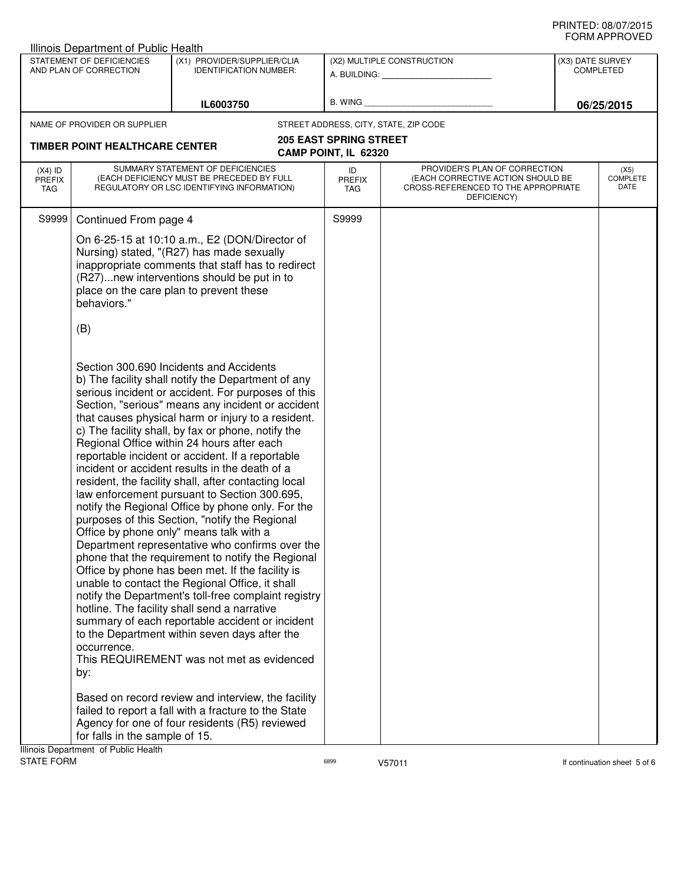| <b>Illinois Department of Public Health</b>                                                                         |                                                                                                                                                                                                                                                                                                                                                                                                                                                                                                                                                                                                                                                                                                                                                                                                                                                                                                                                                                                                                                                                                                                                                                                                                                                                                                                                                                                                                                                                            |                                                                                                                                                                                                                                          |                                                         |                                                                                                                          |            |                                 |
|---------------------------------------------------------------------------------------------------------------------|----------------------------------------------------------------------------------------------------------------------------------------------------------------------------------------------------------------------------------------------------------------------------------------------------------------------------------------------------------------------------------------------------------------------------------------------------------------------------------------------------------------------------------------------------------------------------------------------------------------------------------------------------------------------------------------------------------------------------------------------------------------------------------------------------------------------------------------------------------------------------------------------------------------------------------------------------------------------------------------------------------------------------------------------------------------------------------------------------------------------------------------------------------------------------------------------------------------------------------------------------------------------------------------------------------------------------------------------------------------------------------------------------------------------------------------------------------------------------|------------------------------------------------------------------------------------------------------------------------------------------------------------------------------------------------------------------------------------------|---------------------------------------------------------|--------------------------------------------------------------------------------------------------------------------------|------------|---------------------------------|
| STATEMENT OF DEFICIENCIES<br>(X1) PROVIDER/SUPPLIER/CLIA<br>AND PLAN OF CORRECTION<br><b>IDENTIFICATION NUMBER:</b> |                                                                                                                                                                                                                                                                                                                                                                                                                                                                                                                                                                                                                                                                                                                                                                                                                                                                                                                                                                                                                                                                                                                                                                                                                                                                                                                                                                                                                                                                            |                                                                                                                                                                                                                                          | (X2) MULTIPLE CONSTRUCTION<br>A. BUILDING: A. BUILDING: | (X3) DATE SURVEY<br><b>COMPLETED</b>                                                                                     |            |                                 |
| IL6003750                                                                                                           |                                                                                                                                                                                                                                                                                                                                                                                                                                                                                                                                                                                                                                                                                                                                                                                                                                                                                                                                                                                                                                                                                                                                                                                                                                                                                                                                                                                                                                                                            | B. WING                                                                                                                                                                                                                                  |                                                         |                                                                                                                          | 06/25/2015 |                                 |
|                                                                                                                     | NAME OF PROVIDER OR SUPPLIER                                                                                                                                                                                                                                                                                                                                                                                                                                                                                                                                                                                                                                                                                                                                                                                                                                                                                                                                                                                                                                                                                                                                                                                                                                                                                                                                                                                                                                               |                                                                                                                                                                                                                                          |                                                         | STREET ADDRESS, CITY, STATE, ZIP CODE                                                                                    |            |                                 |
|                                                                                                                     | <b>TIMBER POINT HEALTHCARE CENTER</b>                                                                                                                                                                                                                                                                                                                                                                                                                                                                                                                                                                                                                                                                                                                                                                                                                                                                                                                                                                                                                                                                                                                                                                                                                                                                                                                                                                                                                                      |                                                                                                                                                                                                                                          | <b>205 EAST SPRING STREET</b><br>CAMP POINT, IL 62320   |                                                                                                                          |            |                                 |
| $(X4)$ ID<br><b>PREFIX</b><br>TAG                                                                                   |                                                                                                                                                                                                                                                                                                                                                                                                                                                                                                                                                                                                                                                                                                                                                                                                                                                                                                                                                                                                                                                                                                                                                                                                                                                                                                                                                                                                                                                                            | SUMMARY STATEMENT OF DEFICIENCIES<br>(EACH DEFICIENCY MUST BE PRECEDED BY FULL<br>REGULATORY OR LSC IDENTIFYING INFORMATION)                                                                                                             | ID<br><b>PREFIX</b><br>TAG                              | PROVIDER'S PLAN OF CORRECTION<br>(EACH CORRECTIVE ACTION SHOULD BE<br>CROSS-REFERENCED TO THE APPROPRIATE<br>DEFICIENCY) |            | (X5)<br><b>COMPLETE</b><br>DATE |
| S9999                                                                                                               | Continued From page 4                                                                                                                                                                                                                                                                                                                                                                                                                                                                                                                                                                                                                                                                                                                                                                                                                                                                                                                                                                                                                                                                                                                                                                                                                                                                                                                                                                                                                                                      |                                                                                                                                                                                                                                          | S9999                                                   |                                                                                                                          |            |                                 |
|                                                                                                                     | behaviors."<br>(B)                                                                                                                                                                                                                                                                                                                                                                                                                                                                                                                                                                                                                                                                                                                                                                                                                                                                                                                                                                                                                                                                                                                                                                                                                                                                                                                                                                                                                                                         | On 6-25-15 at 10:10 a.m., E2 (DON/Director of<br>Nursing) stated, "(R27) has made sexually<br>inappropriate comments that staff has to redirect<br>(R27)new interventions should be put in to<br>place on the care plan to prevent these |                                                         |                                                                                                                          |            |                                 |
|                                                                                                                     | Section 300.690 Incidents and Accidents<br>b) The facility shall notify the Department of any<br>serious incident or accident. For purposes of this<br>Section, "serious" means any incident or accident<br>that causes physical harm or injury to a resident.<br>c) The facility shall, by fax or phone, notify the<br>Regional Office within 24 hours after each<br>reportable incident or accident. If a reportable<br>incident or accident results in the death of a<br>resident, the facility shall, after contacting local<br>law enforcement pursuant to Section 300.695,<br>notify the Regional Office by phone only. For the<br>purposes of this Section, "notify the Regional<br>Office by phone only" means talk with a<br>Department representative who confirms over the<br>phone that the requirement to notify the Regional<br>Office by phone has been met. If the facility is<br>unable to contact the Regional Office, it shall<br>notify the Department's toll-free complaint registry<br>hotline. The facility shall send a narrative<br>summary of each reportable accident or incident<br>to the Department within seven days after the<br>occurrence.<br>This REQUIREMENT was not met as evidenced<br>by:<br>Based on record review and interview, the facility<br>failed to report a fall with a fracture to the State<br>Agency for one of four residents (R5) reviewed<br>for falls in the sample of 15.<br>Illinois Department of Public Health |                                                                                                                                                                                                                                          |                                                         |                                                                                                                          |            |                                 |